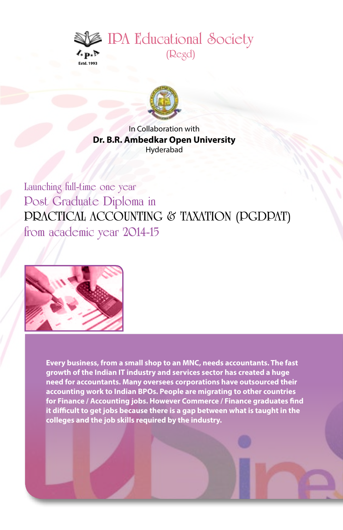



In Collaboration with **Dr. B.R. Ambedkar Open University** Hyderabad

**Launching full-time one year Post Graduate Diploma in PRACTICAL ACCOUNTING & TAXATION (PGDPAT) from academic year 2014-15**



**Every business, from a small shop to an MNC, needs accountants. The fast growth of the Indian IT industry and services sector has created a huge need for accountants. Many oversees corporations have outsourced their accounting work to Indian BPOs. People are migrating to other countries for Finance / Accounting jobs. However Commerce / Finance graduates find it difficult to get jobs because there is a gap between what is taught in the colleges and the job skills required by the industry.**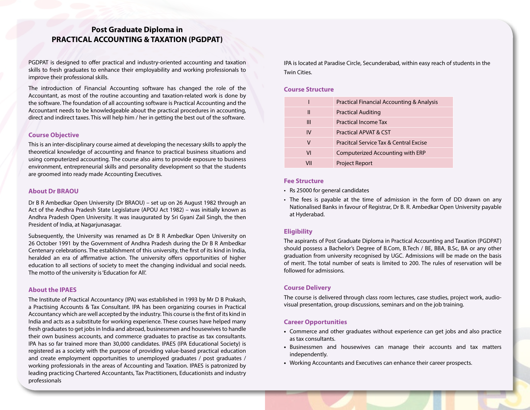# **Post Graduate Diploma in PRACTICAL ACCOUNTING & TAXATION (PGDPAT)**

PGDPAT is designed to offer practical and industry-oriented accounting and taxation skills to fresh graduates to enhance their employability and working professionals to improve their professional skills.

The introduction of Financial Accounting software has changed the role of the Accountant, as most of the routine accounting and taxation-related work is done by the software. The foundation of all accounting software is Practical Accounting and the Accountant needs to be knowledgeable about the practical procedures in accounting, direct and indirect taxes. This will help him / her in getting the best out of the software.

#### **Course Objective**

This is an inter-disciplinary course aimed at developing the necessary skills to apply the theoretical knowledge of accounting and finance to practical business situations and using computerized accounting. The course also aims to provide exposure to business environment, entrepreneurial skills and personality development so that the students are groomed into ready made Accounting Executives.

#### **About Dr BRAOU**

Dr B R Ambedkar Open University (Dr BRAOU) – set up on 26 August 1982 through an Act of the Andhra Pradesh State Legislature (APOU Act 1982) – was initially known as Andhra Pradesh Open University. It was inaugurated by Sri Gyani Zail Singh, the then President of India, at Nagarjunasagar.

Subsequently, the University was renamed as Dr B R Ambedkar Open University on 26 October 1991 by the Government of Andhra Pradesh during the Dr B R Ambedkar Centenary celebrations. The establishment of this university, the first of its kind in India, heralded an era of affirmative action. The university offers opportunities of higher education to all sections of society to meet the changing individual and social needs. The motto of the university is 'Education for All'.

# **About the IPAES**

The Institute of Practical Accountancy (IPA) was established in 1993 by Mr D B Prakash, a Practising Accounts & Tax Consultant. IPA has been organizing courses in Practical Accountancy which are well accepted by the industry. This course is the first of its kind in India and acts as a substitute for working experience. These courses have helped many fresh graduates to get jobs in India and abroad, businessmen and housewives to handle their own business accounts, and commerce graduates to practise as tax consultants. IPA has so far trained more than 30,000 candidates. IPAES (IPA Educational Society) is registered as a society with the purpose of providing value-based practical education and create employment opportunities to unemployed graduates / post graduates / working professionals in the areas of Accounting and Taxation. IPAES is patronized by leading practicing Chartered Accountants, Tax Practitioners, Educationists and industry professionals

IPA is located at Paradise Circle, Secunderabad, within easy reach of students in the Twin Cities.

## **Course Structure**

|     | Practical Financial Accounting & Analysis |
|-----|-------------------------------------------|
| Ш   | <b>Practical Auditing</b>                 |
| Ш   | Practical Income Tax                      |
| IV  | Practical APVAT & CST                     |
| ٧   | Pracitcal Service Tax & Central Excise    |
| VI  | Computerized Accounting with ERP          |
| VII | <b>Project Report</b>                     |

### **Fee Structure**

- • Rs 25000 for general candidates
- The fees is payable at the time of admission in the form of DD drawn on any Nationalised Banks in favour of Registrar, Dr B. R. Ambedkar Open University payable at Hyderabad.

### **Eligibility**

The aspirants of Post Graduate Diploma in Practical Accounting and Taxation (PGDPAT) should possess a Bachelor's Degree of B.Com, B.Tech / BE, BBA, B.Sc, BA or any other graduation from university recognised by UGC. Admissions will be made on the basis of merit. The total number of seats is limited to 200. The rules of reservation will be followed for admissions.

### **Course Delivery**

The course is delivered through class room lectures, case studies, project work, audiovisual presentation, group discussions, seminars and on the job training.

#### **Career Opportunities**

- **•**  Commerce and other graduates without experience can get jobs and also practice as tax consultants.
- **•**  Businessmen and housewives can manage their accounts and tax matters independently.
- **•**  Working Accountants and Executives can enhance their career prospects.